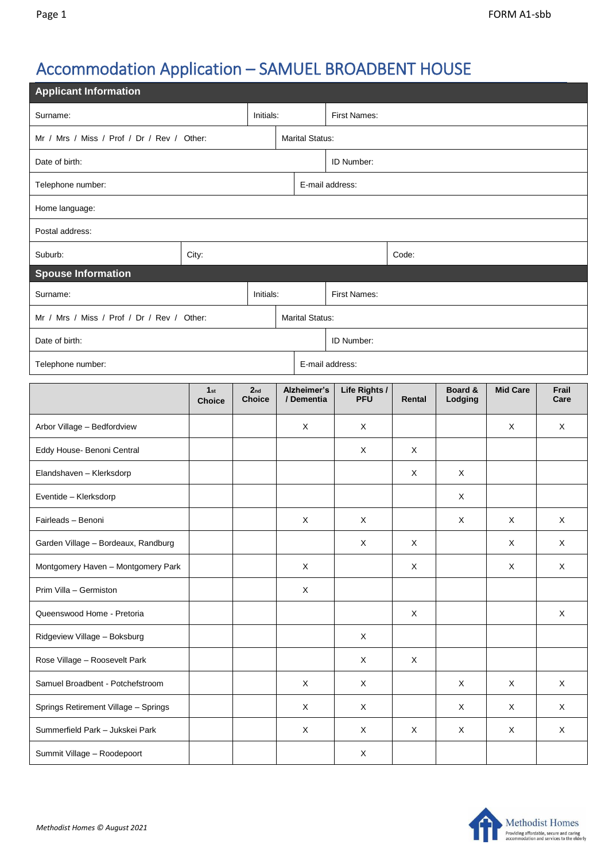## Accommodation Application – SAMUEL BROADBENT HOUSE

| <b>Applicant Information</b>               |                                  |                                  |           |                           |                             |             |                    |                 |               |  |
|--------------------------------------------|----------------------------------|----------------------------------|-----------|---------------------------|-----------------------------|-------------|--------------------|-----------------|---------------|--|
| Surname:                                   |                                  |                                  | Initials: | <b>First Names:</b>       |                             |             |                    |                 |               |  |
| Mr / Mrs / Miss / Prof / Dr / Rev / Other: |                                  |                                  |           | <b>Marital Status:</b>    |                             |             |                    |                 |               |  |
| Date of birth:                             |                                  | ID Number:                       |           |                           |                             |             |                    |                 |               |  |
| Telephone number:                          |                                  |                                  |           | E-mail address:           |                             |             |                    |                 |               |  |
| Home language:                             |                                  |                                  |           |                           |                             |             |                    |                 |               |  |
| Postal address:                            |                                  |                                  |           |                           |                             |             |                    |                 |               |  |
| Suburb:                                    | City:                            |                                  |           |                           |                             | Code:       |                    |                 |               |  |
| <b>Spouse Information</b>                  |                                  |                                  |           |                           |                             |             |                    |                 |               |  |
| Initials:<br>Surname:                      |                                  |                                  |           | First Names:              |                             |             |                    |                 |               |  |
| Mr / Mrs / Miss / Prof / Dr / Rev / Other: |                                  |                                  |           | <b>Marital Status:</b>    |                             |             |                    |                 |               |  |
| Date of birth:                             |                                  |                                  |           | ID Number:                |                             |             |                    |                 |               |  |
| Telephone number:                          |                                  |                                  |           | E-mail address:           |                             |             |                    |                 |               |  |
|                                            | 1 <sub>st</sub><br><b>Choice</b> | 2 <sub>nd</sub><br><b>Choice</b> |           | Alzheimer's<br>/ Dementia | Life Rights /<br><b>PFU</b> | Rental      | Board &<br>Lodging | <b>Mid Care</b> | Frail<br>Care |  |
| Arbor Village - Bedfordview                |                                  |                                  |           | X                         | X                           |             |                    | X               | X             |  |
| Eddy House- Benoni Central                 |                                  |                                  |           |                           | X                           | X           |                    |                 |               |  |
| Elandshaven - Klerksdorp                   |                                  |                                  |           |                           |                             | X           | X                  |                 |               |  |
| Eventide - Klerksdorp                      |                                  |                                  |           |                           |                             |             | X                  |                 |               |  |
| Fairleads - Benoni                         |                                  |                                  |           | $\boldsymbol{\mathsf{X}}$ | Χ                           |             | X                  | X               | X             |  |
| Garden Village - Bordeaux, Randburg        |                                  |                                  |           |                           | X                           | X           |                    | X               | X             |  |
| Montgomery Haven - Montgomery Park         |                                  |                                  |           | $\mathsf X$               |                             | $\mathsf X$ |                    | X               | X             |  |
| Prim Villa - Germiston                     |                                  |                                  |           | X                         |                             |             |                    |                 |               |  |
| Queenswood Home - Pretoria                 |                                  |                                  |           |                           |                             | X           |                    |                 | X             |  |
| Ridgeview Village - Boksburg               |                                  |                                  |           |                           | X                           |             |                    |                 |               |  |
| Rose Village - Roosevelt Park              |                                  |                                  |           |                           | X                           | $\mathsf X$ |                    |                 |               |  |
| Samuel Broadbent - Potchefstroom           |                                  |                                  |           | X                         | X                           |             | $\mathsf X$        | X               | $\mathsf X$   |  |
| Springs Retirement Village - Springs       |                                  |                                  |           | $\times$                  | X                           |             | X                  | $\times$        | X             |  |
| Summerfield Park - Jukskei Park            |                                  |                                  |           | X                         | X                           | X           | X                  | X               | X             |  |
| Summit Village - Roodepoort                |                                  |                                  |           |                           | X                           |             |                    |                 |               |  |

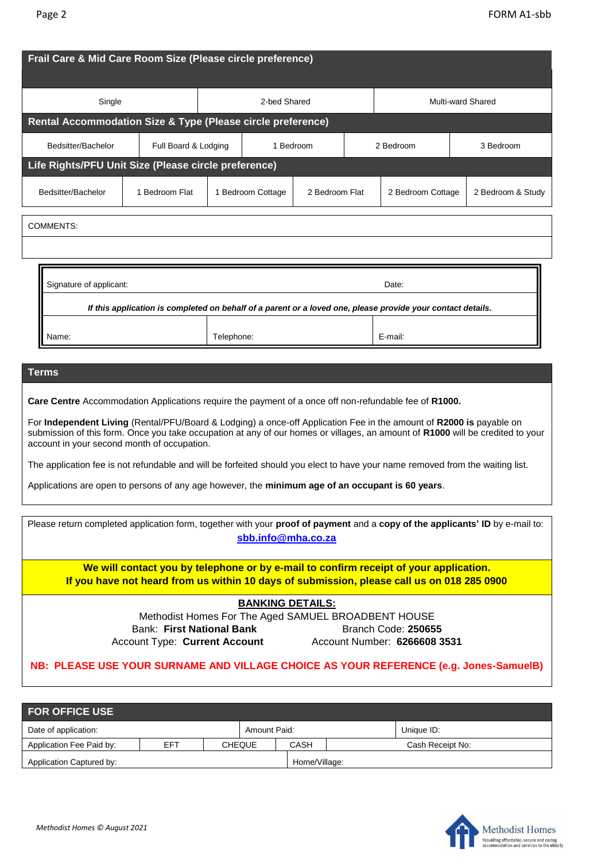| Frail Care & Mid Care Room Size (Please circle preference)                                                  |                      |              |                   |                |                   |                   |  |                   |  |
|-------------------------------------------------------------------------------------------------------------|----------------------|--------------|-------------------|----------------|-------------------|-------------------|--|-------------------|--|
| Single                                                                                                      |                      | 2-bed Shared |                   |                | Multi-ward Shared |                   |  |                   |  |
| Rental Accommodation Size & Type (Please circle preference)                                                 |                      |              |                   |                |                   |                   |  |                   |  |
| Bedsitter/Bachelor                                                                                          | Full Board & Lodging |              | 1 Bedroom         |                |                   | 2 Bedroom         |  | 3 Bedroom         |  |
| Life Rights/PFU Unit Size (Please circle preference)                                                        |                      |              |                   |                |                   |                   |  |                   |  |
| Bedsitter/Bachelor                                                                                          | 1 Bedroom Flat       |              | 1 Bedroom Cottage | 2 Bedroom Flat |                   | 2 Bedroom Cottage |  | 2 Bedroom & Study |  |
| <b>COMMENTS:</b>                                                                                            |                      |              |                   |                |                   |                   |  |                   |  |
| Signature of applicant:<br>Date:                                                                            |                      |              |                   |                |                   |                   |  |                   |  |
| If this application is completed on behalf of a parent or a loved one, please provide your contact details. |                      |              |                   |                |                   |                   |  |                   |  |
| Name:                                                                                                       |                      | Telephone:   |                   |                |                   | E-mail:           |  |                   |  |
| <b>Terms</b>                                                                                                |                      |              |                   |                |                   |                   |  |                   |  |
| Care Centre Accommodation Applications require the payment of a once off non-refundable fee of R1000.       |                      |              |                   |                |                   |                   |  |                   |  |

For **Independent Living** (Rental/PFU/Board & Lodging) a once-off Application Fee in the amount of **R2000 is** payable on submission of this form. Once you take occupation at any of our homes or villages, an amount of **R1000** will be credited to your account in your second month of occupation.

The application fee is not refundable and will be forfeited should you elect to have your name removed from the waiting list.

Applications are open to persons of any age however, the **minimum age of an occupant is 60 years**.

| Please return completed application form, together with your proof of payment and a copy of the applicants' ID by e-mail to:<br>sbb.info@mha.co.za                                  |                              |  |  |  |  |  |  |  |
|-------------------------------------------------------------------------------------------------------------------------------------------------------------------------------------|------------------------------|--|--|--|--|--|--|--|
| We will contact you by telephone or by e-mail to confirm receipt of your application.<br>If you have not heard from us within 10 days of submission, please call us on 018 285 0900 |                              |  |  |  |  |  |  |  |
| <b>BANKING DETAILS:</b>                                                                                                                                                             |                              |  |  |  |  |  |  |  |
| Methodist Homes For The Aged SAMUEL BROADBENT HOUSE                                                                                                                                 |                              |  |  |  |  |  |  |  |
| <b>Bank: First National Bank</b>                                                                                                                                                    | Branch Code: 250655          |  |  |  |  |  |  |  |
| <b>Account Type: Current Account</b>                                                                                                                                                | Account Number: 6266608 3531 |  |  |  |  |  |  |  |
| NB: PLEASE USE YOUR SURNAME AND VILLAGE CHOICE AS YOUR REFERENCE (e.g. Jones-SamuelB)                                                                                               |                              |  |  |  |  |  |  |  |

| <b>FOR OFFICE USE</b>    |     |  |               |               |  |                  |  |  |  |
|--------------------------|-----|--|---------------|---------------|--|------------------|--|--|--|
| Date of application:     |     |  | Amount Paid:  |               |  | Unique ID:       |  |  |  |
| Application Fee Paid by: | EFT |  | <b>CHEQUE</b> | CASH          |  | Cash Receipt No: |  |  |  |
| Application Captured by: |     |  |               | Home/Village: |  |                  |  |  |  |

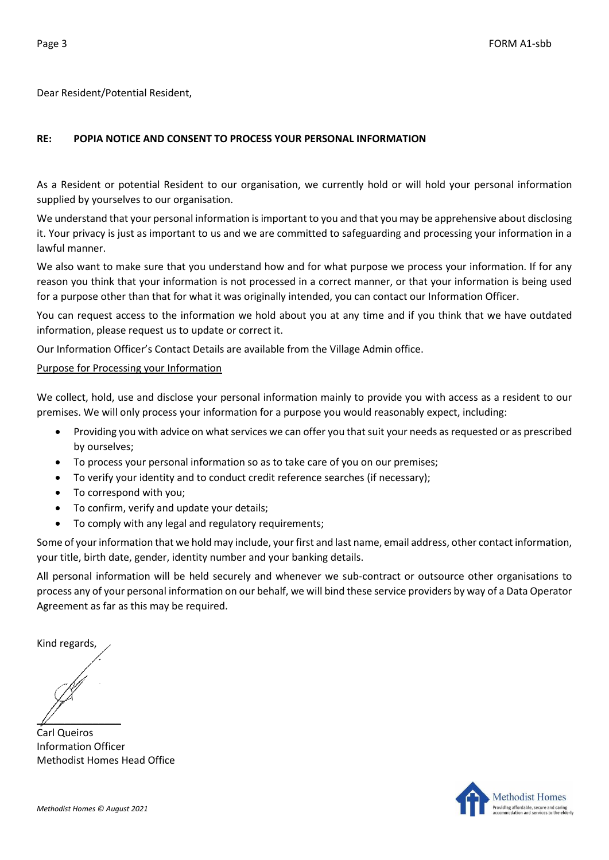Dear Resident/Potential Resident,

## **RE: POPIA NOTICE AND CONSENT TO PROCESS YOUR PERSONAL INFORMATION**

As a Resident or potential Resident to our organisation, we currently hold or will hold your personal information supplied by yourselves to our organisation.

We understand that your personal information is important to you and that you may be apprehensive about disclosing it. Your privacy is just as important to us and we are committed to safeguarding and processing your information in a lawful manner.

We also want to make sure that you understand how and for what purpose we process your information. If for any reason you think that your information is not processed in a correct manner, or that your information is being used for a purpose other than that for what it was originally intended, you can contact our Information Officer.

You can request access to the information we hold about you at any time and if you think that we have outdated information, please request us to update or correct it.

Our Information Officer's Contact Details are available from the Village Admin office.

## Purpose for Processing your Information

We collect, hold, use and disclose your personal information mainly to provide you with access as a resident to our premises. We will only process your information for a purpose you would reasonably expect, including:

- Providing you with advice on what services we can offer you that suit your needs as requested or as prescribed by ourselves;
- To process your personal information so as to take care of you on our premises;
- To verify your identity and to conduct credit reference searches (if necessary);
- To correspond with you;
- To confirm, verify and update your details;
- To comply with any legal and regulatory requirements;

Some of your information that we hold may include, your first and last name, email address, other contact information, your title, birth date, gender, identity number and your banking details.

All personal information will be held securely and whenever we sub-contract or outsource other organisations to process any of your personal information on our behalf, we will bind these service providers by way of a Data Operator Agreement as far as this may be required.

Kind regards,

 $\mathbb{Z}$ 

Carl Queiros Information Officer Methodist Homes Head Office